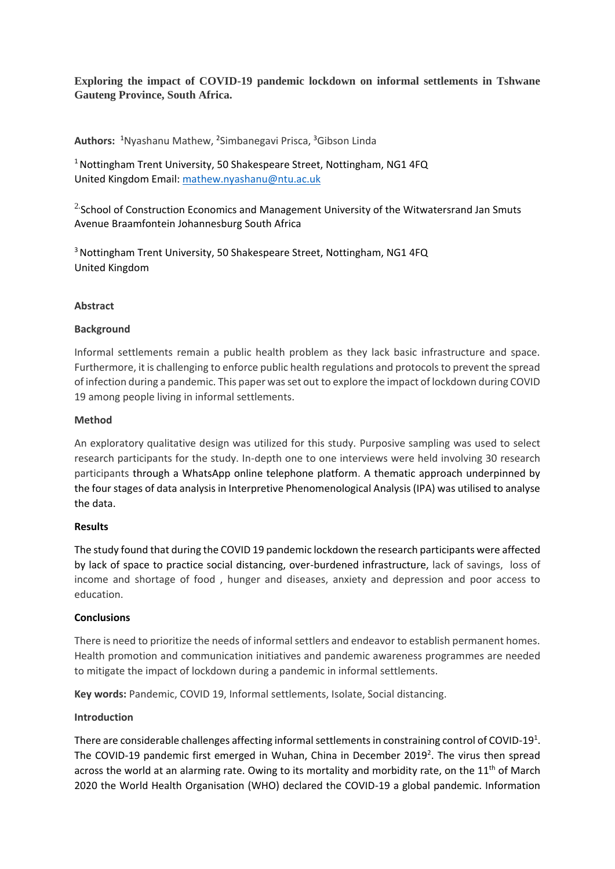**Exploring the impact of COVID-19 pandemic lockdown on informal settlements in Tshwane Gauteng Province, South Africa.**

**Authors:**  <sup>1</sup>Nyashanu Mathew, <sup>2</sup> Simbanegavi Prisca, <sup>3</sup>Gibson Linda

<sup>1</sup> Nottingham Trent University, 50 Shakespeare Street, Nottingham, NG1 4FQ United Kingdom Email[: mathew.nyashanu@ntu.ac.uk](mailto:mathew.nyashanu@ntu.ac.uk)

 $2$  School of Construction Economics and Management University of the Witwatersrand Jan Smuts Avenue Braamfontein Johannesburg South Africa

<sup>3</sup> Nottingham Trent University, 50 Shakespeare Street, Nottingham, NG1 4FQ United Kingdom

## **Abstract**

## **Background**

Informal settlements remain a public health problem as they lack basic infrastructure and space. Furthermore, it is challenging to enforce public health regulations and protocols to prevent the spread of infection during a pandemic. This paper was set out to explore the impact of lockdown during COVID 19 among people living in informal settlements.

### **Method**

An exploratory qualitative design was utilized for this study. Purposive sampling was used to select research participants for the study. In-depth one to one interviews were held involving 30 research participants through a WhatsApp online telephone platform. A thematic approach underpinned by the four stages of data analysis in Interpretive Phenomenological Analysis (IPA) was utilised to analyse the data.

### **Results**

The study found that during the COVID 19 pandemic lockdown the research participants were affected by lack of space to practice social distancing, over-burdened infrastructure, lack of savings, loss of income and shortage of food , hunger and diseases, anxiety and depression and poor access to education.

### **Conclusions**

There is need to prioritize the needs of informal settlers and endeavor to establish permanent homes. Health promotion and communication initiatives and pandemic awareness programmes are needed to mitigate the impact of lockdown during a pandemic in informal settlements.

**Key words:** Pandemic, COVID 19, Informal settlements, Isolate, Social distancing.

### **Introduction**

There are considerable challenges affecting informal settlements in constraining control of COVID-19<sup>1</sup>. The COVID-19 pandemic first emerged in Wuhan, China in December 2019<sup>2</sup>. The virus then spread across the world at an alarming rate. Owing to its mortality and morbidity rate, on the 11<sup>th</sup> of March 2020 the World Health Organisation (WHO) declared the COVID-19 a global pandemic. Information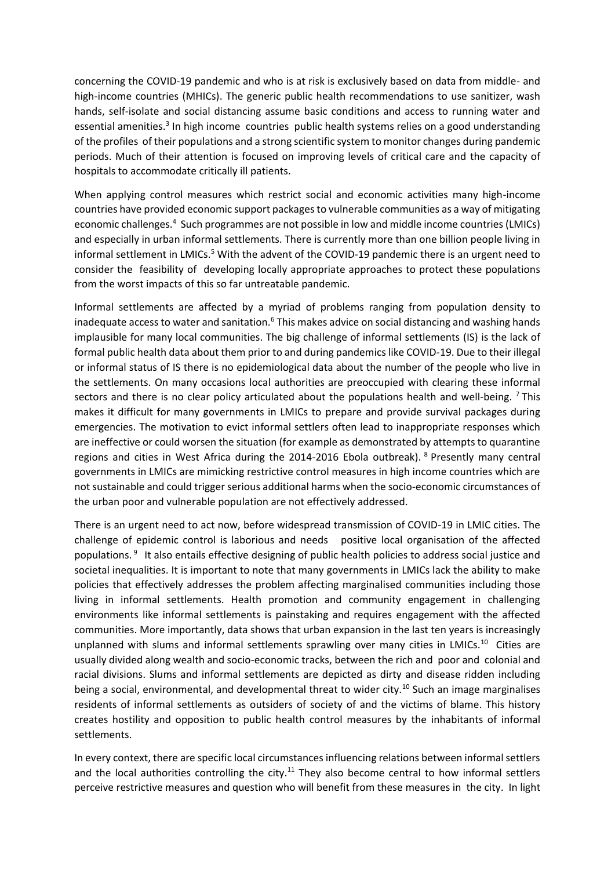concerning the COVID-19 pandemic and who is at risk is exclusively based on data from middle- and high-income countries (MHICs). The generic public health recommendations to use sanitizer, wash hands, self-isolate and social distancing assume basic conditions and access to running water and essential amenities.<sup>3</sup> In high income countries public health systems relies on a good understanding of the profiles of their populations and a strong scientific system to monitor changes during pandemic periods. Much of their attention is focused on improving levels of critical care and the capacity of hospitals to accommodate critically ill patients.

When applying control measures which restrict social and economic activities many high-income countries have provided economic support packages to vulnerable communities as a way of mitigating economic challenges.<sup>4</sup> Such programmes are not possible in low and middle income countries (LMICs) and especially in urban informal settlements. There is currently more than one billion people living in informal settlement in LMICs.<sup>5</sup> With the advent of the COVID-19 pandemic there is an urgent need to consider the feasibility of developing locally appropriate approaches to protect these populations from the worst impacts of this so far untreatable pandemic.

Informal settlements are affected by a myriad of problems ranging from population density to inadequate access to water and sanitation.<sup>6</sup> This makes advice on social distancing and washing hands implausible for many local communities. The big challenge of informal settlements (IS) is the lack of formal public health data about them prior to and during pandemics like COVID-19. Due to their illegal or informal status of IS there is no epidemiological data about the number of the people who live in the settlements. On many occasions local authorities are preoccupied with clearing these informal sectors and there is no clear policy articulated about the populations health and well-being. <sup>7</sup>This makes it difficult for many governments in LMICs to prepare and provide survival packages during emergencies. The motivation to evict informal settlers often lead to inappropriate responses which are ineffective or could worsen the situation (for example as demonstrated by attempts to quarantine regions and cities in West Africa during the 2014-2016 Ebola outbreak). <sup>8</sup> Presently many central governments in LMICs are mimicking restrictive control measures in high income countries which are not sustainable and could trigger serious additional harms when the socio-economic circumstances of the urban poor and vulnerable population are not effectively addressed.

There is an urgent need to act now, before widespread transmission of COVID-19 in LMIC cities. The challenge of epidemic control is laborious and needs positive local organisation of the affected populations. 9 It also entails effective designing of public health policies to address social justice and societal inequalities. It is important to note that many governments in LMICs lack the ability to make policies that effectively addresses the problem affecting marginalised communities including those living in informal settlements. Health promotion and community engagement in challenging environments like informal settlements is painstaking and requires engagement with the affected communities. More importantly, data shows that urban expansion in the last ten years is increasingly unplanned with slums and informal settlements sprawling over many cities in LMICs.<sup>10</sup> Cities are usually divided along wealth and socio-economic tracks, between the rich and poor and colonial and racial divisions. Slums and informal settlements are depicted as dirty and disease ridden including being a social, environmental, and developmental threat to wider city.<sup>10</sup> Such an image marginalises residents of informal settlements as outsiders of society of and the victims of blame. This history creates hostility and opposition to public health control measures by the inhabitants of informal settlements.

In every context, there are specific local circumstances influencing relations between informal settlers and the local authorities controlling the city.<sup>11</sup> They also become central to how informal settlers perceive restrictive measures and question who will benefit from these measures in the city. In light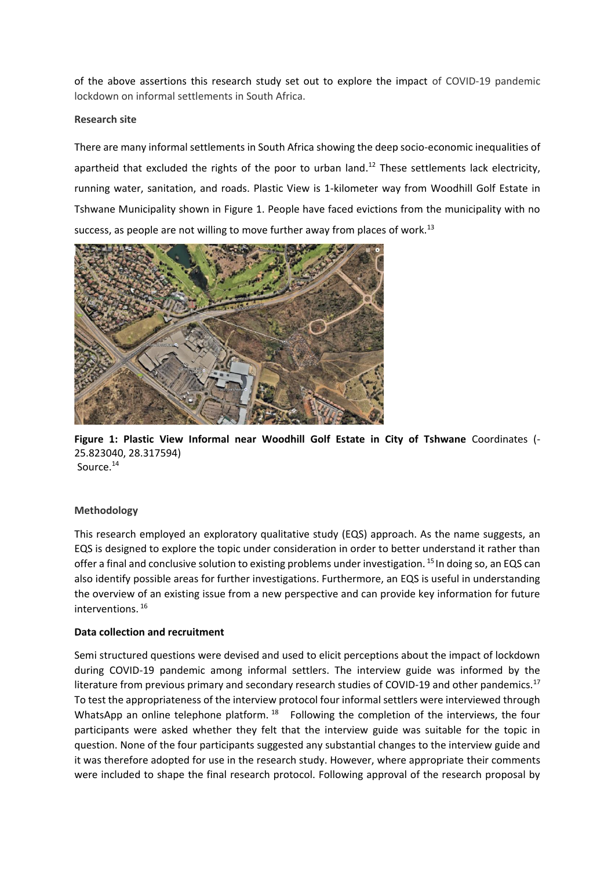of the above assertions this research study set out to explore the impact of COVID-19 pandemic lockdown on informal settlements in South Africa.

### **Research site**

There are many informal settlements in South Africa showing the deep socio-economic inequalities of apartheid that excluded the rights of the poor to urban land.<sup>12</sup> These settlements lack electricity, running water, sanitation, and roads. Plastic View is 1-kilometer way from Woodhill Golf Estate in Tshwane Municipality shown in Figure 1. People have faced evictions from the municipality with no success, as people are not willing to move further away from places of work.<sup>13</sup>



**Figure 1: Plastic View Informal near Woodhill Golf Estate in City of Tshwane** Coordinates (- 25.823040, 28.317594) Source.<sup>14</sup>

### **Methodology**

This research employed an exploratory qualitative study (EQS) approach. As the name suggests, an EQS is designed to explore the topic under consideration in order to better understand it rather than offer a final and conclusive solution to existing problems under investigation. <sup>15</sup> In doing so, an EQS can also identify possible areas for further investigations. Furthermore, an EQS is useful in understanding the overview of an existing issue from a new perspective and can provide key information for future interventions. <sup>16</sup>

### **Data collection and recruitment**

Semi structured questions were devised and used to elicit perceptions about the impact of lockdown during COVID-19 pandemic among informal settlers. The interview guide was informed by the literature from previous primary and secondary research studies of COVID-19 and other pandemics.<sup>17</sup> To test the appropriateness of the interview protocol four informal settlers were interviewed through WhatsApp an online telephone platform.  $18$  Following the completion of the interviews, the four participants were asked whether they felt that the interview guide was suitable for the topic in question. None of the four participants suggested any substantial changes to the interview guide and it was therefore adopted for use in the research study. However, where appropriate their comments were included to shape the final research protocol. Following approval of the research proposal by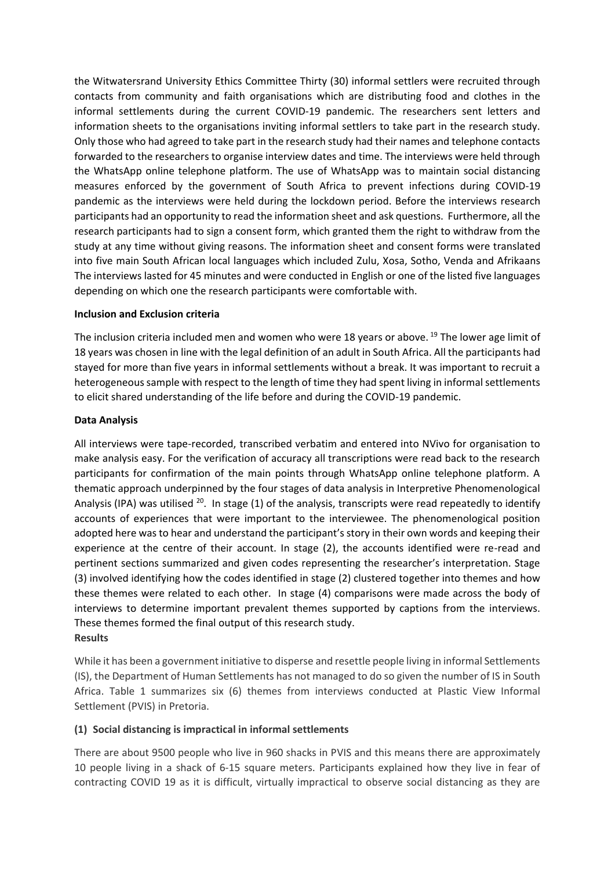the Witwatersrand University Ethics Committee Thirty (30) informal settlers were recruited through contacts from community and faith organisations which are distributing food and clothes in the informal settlements during the current COVID-19 pandemic. The researchers sent letters and information sheets to the organisations inviting informal settlers to take part in the research study. Only those who had agreed to take part in the research study had their names and telephone contacts forwarded to the researchers to organise interview dates and time. The interviews were held through the WhatsApp online telephone platform. The use of WhatsApp was to maintain social distancing measures enforced by the government of South Africa to prevent infections during COVID-19 pandemic as the interviews were held during the lockdown period. Before the interviews research participants had an opportunity to read the information sheet and ask questions. Furthermore, all the research participants had to sign a consent form, which granted them the right to withdraw from the study at any time without giving reasons. The information sheet and consent forms were translated into five main South African local languages which included Zulu, Xosa, Sotho, Venda and Afrikaans The interviews lasted for 45 minutes and were conducted in English or one of the listed five languages depending on which one the research participants were comfortable with.

### **Inclusion and Exclusion criteria**

The inclusion criteria included men and women who were 18 years or above.<sup>19</sup> The lower age limit of 18 years was chosen in line with the legal definition of an adult in South Africa. All the participants had stayed for more than five years in informal settlements without a break. It was important to recruit a heterogeneous sample with respect to the length of time they had spent living in informal settlements to elicit shared understanding of the life before and during the COVID-19 pandemic.

#### **Data Analysis**

All interviews were tape-recorded, transcribed verbatim and entered into NVivo for organisation to make analysis easy. For the verification of accuracy all transcriptions were read back to the research participants for confirmation of the main points through WhatsApp online telephone platform. A thematic approach underpinned by the four stages of data analysis in Interpretive Phenomenological Analysis (IPA) was utilised <sup>20</sup>. In stage (1) of the analysis, transcripts were read repeatedly to identify accounts of experiences that were important to the interviewee. The phenomenological position adopted here was to hear and understand the participant's story in their own words and keeping their experience at the centre of their account. In stage (2), the accounts identified were re-read and pertinent sections summarized and given codes representing the researcher's interpretation. Stage (3) involved identifying how the codes identified in stage (2) clustered together into themes and how these themes were related to each other. In stage (4) comparisons were made across the body of interviews to determine important prevalent themes supported by captions from the interviews. These themes formed the final output of this research study. **Results**

While it has been a government initiative to disperse and resettle people living in informal Settlements (IS), the Department of Human Settlements has not managed to do so given the number of IS in South Africa. Table 1 summarizes six (6) themes from interviews conducted at Plastic View Informal Settlement (PVIS) in Pretoria.

### **(1) Social distancing is impractical in informal settlements**

There are about 9500 people who live in 960 shacks in PVIS and this means there are approximately 10 people living in a shack of 6-15 square meters. Participants explained how they live in fear of contracting COVID 19 as it is difficult, virtually impractical to observe social distancing as they are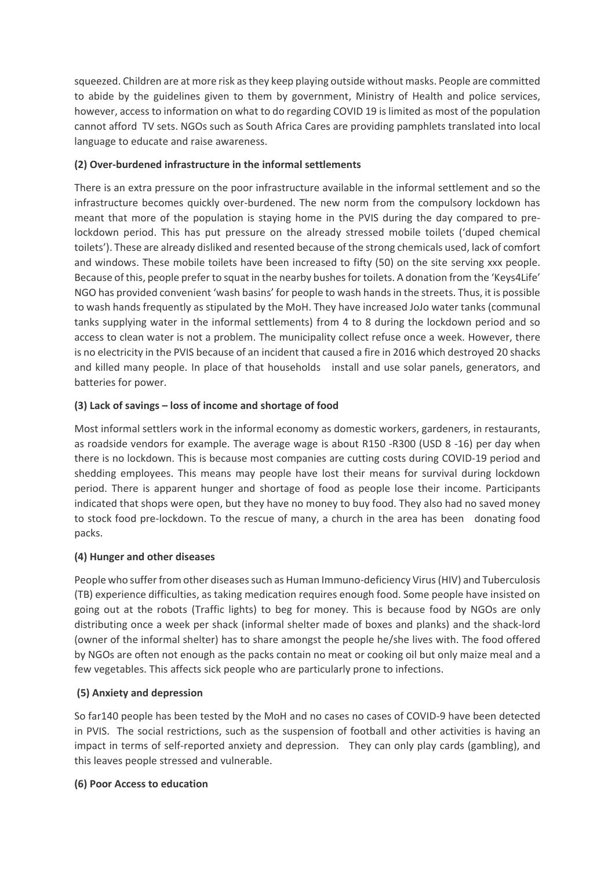squeezed. Children are at more risk as they keep playing outside without masks. People are committed to abide by the guidelines given to them by government, Ministry of Health and police services, however, access to information on what to do regarding COVID 19 is limited as most of the population cannot afford TV sets. NGOs such as South Africa Cares are providing pamphlets translated into local language to educate and raise awareness.

# **(2) Over-burdened infrastructure in the informal settlements**

There is an extra pressure on the poor infrastructure available in the informal settlement and so the infrastructure becomes quickly over-burdened. The new norm from the compulsory lockdown has meant that more of the population is staying home in the PVIS during the day compared to prelockdown period. This has put pressure on the already stressed mobile toilets ('duped chemical toilets'). These are already disliked and resented because of the strong chemicals used, lack of comfort and windows. These mobile toilets have been increased to fifty (50) on the site serving xxx people. Because of this, people prefer to squat in the nearby bushes for toilets. A donation from the 'Keys4Life' NGO has provided convenient 'wash basins' for people to wash hands in the streets. Thus, it is possible to wash hands frequently as stipulated by the MoH. They have increased JoJo water tanks (communal tanks supplying water in the informal settlements) from 4 to 8 during the lockdown period and so access to clean water is not a problem. The municipality collect refuse once a week. However, there is no electricity in the PVIS because of an incident that caused a fire in 2016 which destroyed 20 shacks and killed many people. In place of that households install and use solar panels, generators, and batteries for power.

# **(3) Lack of savings – loss of income and shortage of food**

Most informal settlers work in the informal economy as domestic workers, gardeners, in restaurants, as roadside vendors for example. The average wage is about R150 -R300 (USD 8 -16) per day when there is no lockdown. This is because most companies are cutting costs during COVID-19 period and shedding employees. This means may people have lost their means for survival during lockdown period. There is apparent hunger and shortage of food as people lose their income. Participants indicated that shops were open, but they have no money to buy food. They also had no saved money to stock food pre-lockdown. To the rescue of many, a church in the area has been donating food packs.

# **(4) Hunger and other diseases**

People who suffer from other diseases such as Human Immuno-deficiency Virus (HIV) and Tuberculosis (TB) experience difficulties, as taking medication requires enough food. Some people have insisted on going out at the robots (Traffic lights) to beg for money. This is because food by NGOs are only distributing once a week per shack (informal shelter made of boxes and planks) and the shack-lord (owner of the informal shelter) has to share amongst the people he/she lives with. The food offered by NGOs are often not enough as the packs contain no meat or cooking oil but only maize meal and a few vegetables. This affects sick people who are particularly prone to infections.

# **(5) Anxiety and depression**

So far140 people has been tested by the MoH and no cases no cases of COVID-9 have been detected in PVIS. The social restrictions, such as the suspension of football and other activities is having an impact in terms of self-reported anxiety and depression. They can only play cards (gambling), and this leaves people stressed and vulnerable.

# **(6) Poor Access to education**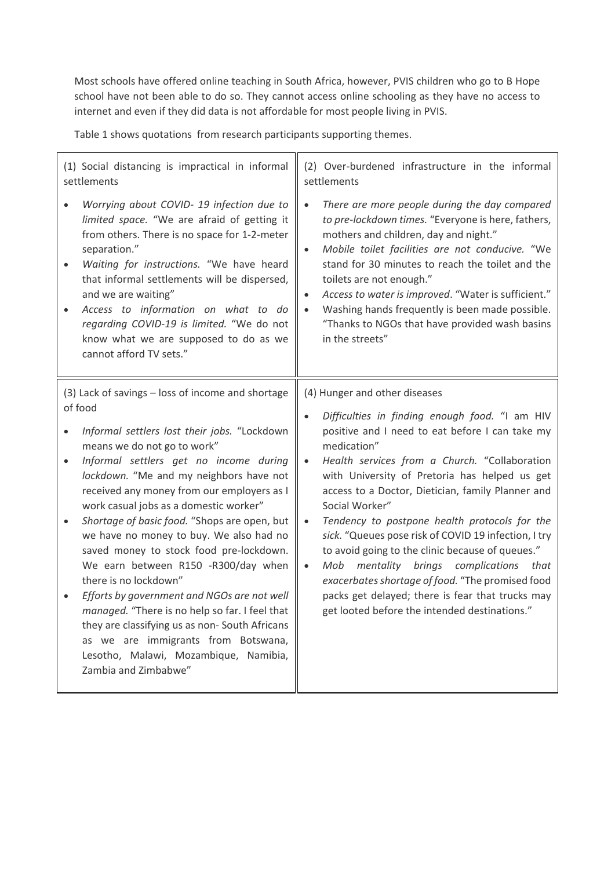Most schools have offered online teaching in South Africa, however, PVIS children who go to B Hope school have not been able to do so. They cannot access online schooling as they have no access to internet and even if they did data is not affordable for most people living in PVIS.

Table 1 shows quotations from research participants supporting themes.

(1) Social distancing is impractical in informal settlements • *Worrying about COVID- 19 infection due to limited space.* "We are afraid of getting it from others. There is no space for 1-2-meter separation." • *Waiting for instructions.* "We have heard that informal settlements will be dispersed, and we are waiting" • *Access to information on what to do regarding COVID-19 is limited.* "We do not know what we are supposed to do as we cannot afford TV sets." (2) Over-burdened infrastructure in the informal settlements • *There are more people during the day compared to pre-lockdown times.* "Everyone is here, fathers, mothers and children, day and night." • *Mobile toilet facilities are not conducive.* "We stand for 30 minutes to reach the toilet and the toilets are not enough." • *Access to water is improved*. "Water is sufficient." • Washing hands frequently is been made possible. "Thanks to NGOs that have provided wash basins in the streets" (3) Lack of savings – loss of income and shortage of food • *Informal settlers lost their jobs.* "Lockdown means we do not go to work" • *Informal settlers get no income during lockdown.* "Me and my neighbors have not received any money from our employers as I work casual jobs as a domestic worker" • *Shortage of basic food.* "Shops are open, but we have no money to buy. We also had no saved money to stock food pre-lockdown. We earn between R150 -R300/day when there is no lockdown" • *Efforts by government and NGOs are not well managed.* "There is no help so far. I feel that they are classifying us as non- South Africans as we are immigrants from Botswana, Lesotho, Malawi, Mozambique, Namibia, Zambia and Zimbabwe" (4) Hunger and other diseases • *Difficulties in finding enough food.* "I am HIV positive and I need to eat before I can take my medication" • *Health services from a Church.* "Collaboration with University of Pretoria has helped us get access to a Doctor, Dietician, family Planner and Social Worker" • *Tendency to postpone health protocols for the sick.* "Queues pose risk of COVID 19 infection, I try to avoid going to the clinic because of queues." • *Mob mentality brings complications that exacerbates shortage of food.* "The promised food packs get delayed; there is fear that trucks may get looted before the intended destinations."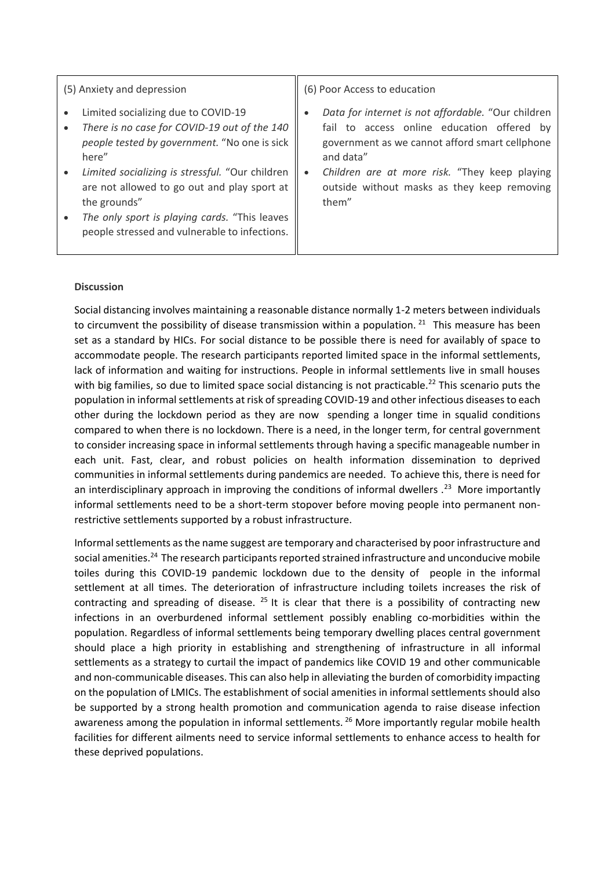### (5) Anxiety and depression

- Limited socializing due to COVID-19
- *There is no case for COVID-19 out of the 140 people tested by government.* "No one is sick here"
- *Limited socializing is stressful.* "Our children are not allowed to go out and play sport at the grounds"
- *The only sport is playing cards.* "This leaves people stressed and vulnerable to infections.

(6) Poor Access to education

- *Data for internet is not affordable.* "Our children fail to access online education offered by government as we cannot afford smart cellphone and data"
- *Children are at more risk.* "They keep playing outside without masks as they keep removing them"

### **Discussion**

Social distancing involves maintaining a reasonable distance normally 1-2 meters between individuals to circumvent the possibility of disease transmission within a population.  $21$  This measure has been set as a standard by HICs. For social distance to be possible there is need for availably of space to accommodate people. The research participants reported limited space in the informal settlements, lack of information and waiting for instructions. People in informal settlements live in small houses with big families, so due to limited space social distancing is not practicable.<sup>22</sup> This scenario puts the population in informal settlements at risk of spreading COVID-19 and other infectious diseases to each other during the lockdown period as they are now spending a longer time in squalid conditions compared to when there is no lockdown. There is a need, in the longer term, for central government to consider increasing space in informal settlements through having a specific manageable number in each unit. Fast, clear, and robust policies on health information dissemination to deprived communities in informal settlements during pandemics are needed. To achieve this, there is need for an interdisciplinary approach in improving the conditions of informal dwellers .<sup>23</sup> More importantly informal settlements need to be a short-term stopover before moving people into permanent nonrestrictive settlements supported by a robust infrastructure.

Informal settlements as the name suggest are temporary and characterised by poor infrastructure and social amenities.<sup>24</sup> The research participants reported strained infrastructure and unconducive mobile toiles during this COVID-19 pandemic lockdown due to the density of people in the informal settlement at all times. The deterioration of infrastructure including toilets increases the risk of contracting and spreading of disease.  $25$  It is clear that there is a possibility of contracting new infections in an overburdened informal settlement possibly enabling co-morbidities within the population. Regardless of informal settlements being temporary dwelling places central government should place a high priority in establishing and strengthening of infrastructure in all informal settlements as a strategy to curtail the impact of pandemics like COVID 19 and other communicable and non-communicable diseases. This can also help in alleviating the burden of comorbidity impacting on the population of LMICs. The establishment of social amenities in informal settlements should also be supported by a strong health promotion and communication agenda to raise disease infection awareness among the population in informal settlements. <sup>26</sup> More importantly regular mobile health facilities for different ailments need to service informal settlements to enhance access to health for these deprived populations.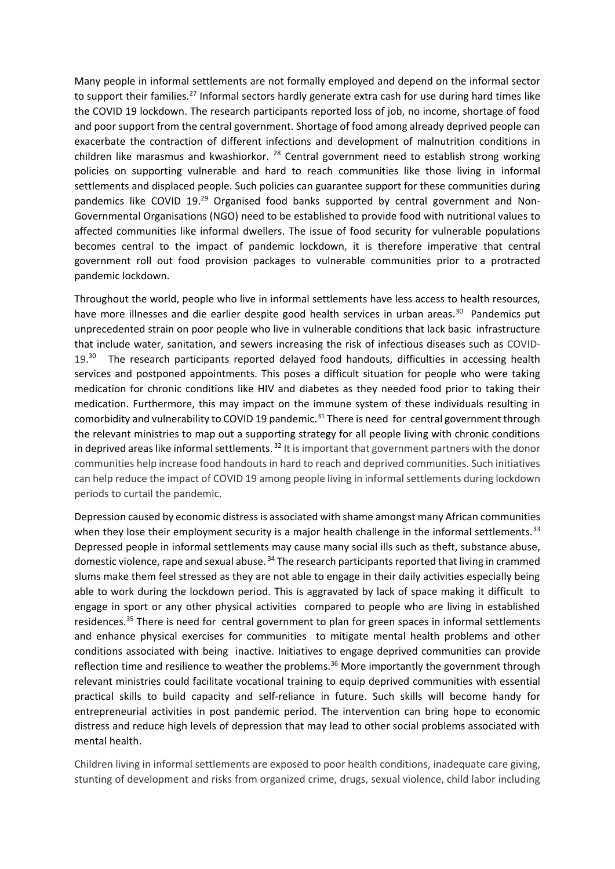Many people in informal settlements are not formally employed and depend on the informal sector to support their families.<sup>27</sup> Informal sectors hardly generate extra cash for use during hard times like the COVID 19 lockdown. The research participants reported loss of job, no income, shortage of food and poor support from the central government. Shortage of food among already deprived people can exacerbate the contraction of different infections and development of malnutrition conditions in children like marasmus and kwashiorkor. <sup>28</sup> Central government need to establish strong working policies on supporting vulnerable and hard to reach communities like those living in informal settlements and displaced people. Such policies can guarantee support for these communities during pandemics like COVID 19.<sup>29</sup> Organised food banks supported by central government and Non-Governmental Organisations (NGO) need to be established to provide food with nutritional values to affected communities like informal dwellers. The issue of food security for vulnerable populations becomes central to the impact of pandemic lockdown, it is therefore imperative that central government roll out food provision packages to vulnerable communities prior to a protracted pandemic lockdown.

Throughout the world, people who live in informal settlements have less access to health resources, have more illnesses and die earlier despite good health services in urban areas.<sup>30</sup> Pandemics put unprecedented strain on poor people who live in vulnerable conditions that lack basic infrastructure that include water, sanitation, and sewers increasing the risk of infectious diseases such as COVID-19.<sup>30</sup> The research participants reported delayed food handouts, difficulties in accessing health services and postponed appointments. This poses a difficult situation for people who were taking medication for chronic conditions like HIV and diabetes as they needed food prior to taking their medication. Furthermore, this may impact on the immune system of these individuals resulting in comorbidity and vulnerability to COVID 19 pandemic.<sup>31</sup> There is need for central government through the relevant ministries to map out a supporting strategy for all people living with chronic conditions in deprived areas like informal settlements.<sup>32</sup> It is important that government partners with the donor communities help increase food handouts in hard to reach and deprived communities. Such initiatives can help reduce the impact of COVID 19 among people living in informal settlements during lockdown periods to curtail the pandemic.

Depression caused by economic distress is associated with shame amongst many African communities when they lose their employment security is a major health challenge in the informal settlements.<sup>33</sup> Depressed people in informal settlements may cause many social ills such as theft, substance abuse, domestic violence, rape and sexual abuse. <sup>34</sup> The research participants reported that living in crammed slums make them feel stressed as they are not able to engage in their daily activities especially being able to work during the lockdown period. This is aggravated by lack of space making it difficult to engage in sport or any other physical activities compared to people who are living in established residences.<sup>35</sup> There is need for central government to plan for green spaces in informal settlements and enhance physical exercises for communities to mitigate mental health problems and other conditions associated with being inactive. Initiatives to engage deprived communities can provide reflection time and resilience to weather the problems.<sup>36</sup> More importantly the government through relevant ministries could facilitate vocational training to equip deprived communities with essential practical skills to build capacity and self-reliance in future. Such skills will become handy for entrepreneurial activities in post pandemic period. The intervention can bring hope to economic distress and reduce high levels of depression that may lead to other social problems associated with mental health.

Children living in informal settlements are exposed to poor health conditions, inadequate care giving, stunting of development and risks from organized crime, drugs, sexual violence, child labor including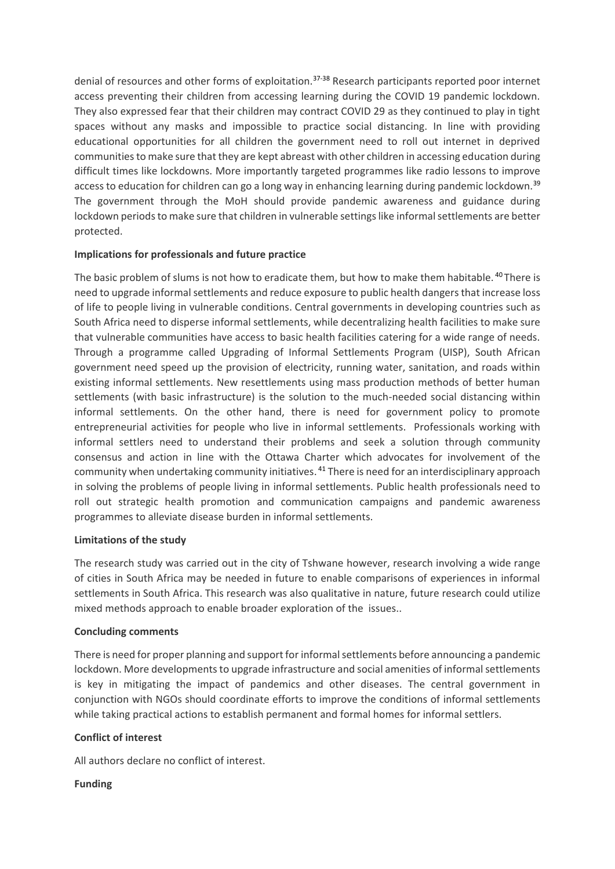denial of resources and other forms of exploitation.<sup>37-38</sup> Research participants reported poor internet access preventing their children from accessing learning during the COVID 19 pandemic lockdown. They also expressed fear that their children may contract COVID 29 as they continued to play in tight spaces without any masks and impossible to practice social distancing. In line with providing educational opportunities for all children the government need to roll out internet in deprived communities to make sure that they are kept abreast with other children in accessing education during difficult times like lockdowns. More importantly targeted programmes like radio lessons to improve access to education for children can go a long way in enhancing learning during pandemic lockdown.<sup>39</sup> The government through the MoH should provide pandemic awareness and guidance during lockdown periods to make sure that children in vulnerable settings like informal settlements are better protected.

## **Implications for professionals and future practice**

The basic problem of slums is not how to eradicate them, but how to make them habitable. <sup>40</sup>There is need to upgrade informal settlements and reduce exposure to public health dangers that increase loss of life to people living in vulnerable conditions. Central governments in developing countries such as South Africa need to disperse informal settlements, while decentralizing health facilities to make sure that vulnerable communities have access to basic health facilities catering for a wide range of needs. Through a programme called Upgrading of Informal Settlements Program (UISP), South African government need speed up the provision of electricity, running water, sanitation, and roads within existing informal settlements. New resettlements using mass production methods of better human settlements (with basic infrastructure) is the solution to the much-needed social distancing within informal settlements. On the other hand, there is need for government policy to promote entrepreneurial activities for people who live in informal settlements. Professionals working with informal settlers need to understand their problems and seek a solution through community consensus and action in line with the Ottawa Charter which advocates for involvement of the community when undertaking community initiatives. <sup>41</sup> There is need for an interdisciplinary approach in solving the problems of people living in informal settlements. Public health professionals need to roll out strategic health promotion and communication campaigns and pandemic awareness programmes to alleviate disease burden in informal settlements.

### **Limitations of the study**

The research study was carried out in the city of Tshwane however, research involving a wide range of cities in South Africa may be needed in future to enable comparisons of experiences in informal settlements in South Africa. This research was also qualitative in nature, future research could utilize mixed methods approach to enable broader exploration of the issues..

### **Concluding comments**

There is need for proper planning and support for informal settlements before announcing a pandemic lockdown. More developments to upgrade infrastructure and social amenities of informal settlements is key in mitigating the impact of pandemics and other diseases. The central government in conjunction with NGOs should coordinate efforts to improve the conditions of informal settlements while taking practical actions to establish permanent and formal homes for informal settlers.

### **Conflict of interest**

All authors declare no conflict of interest.

### **Funding**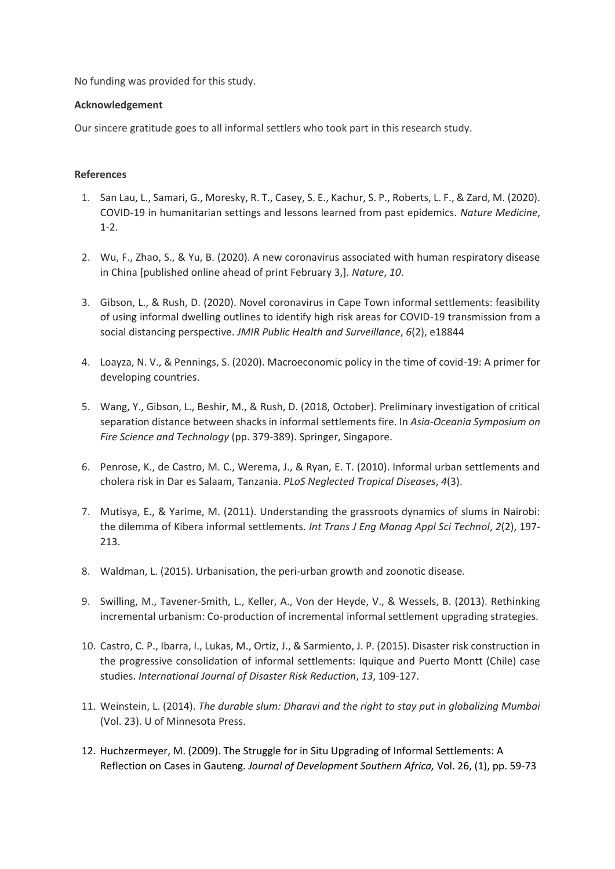No funding was provided for this study.

## **Acknowledgement**

Our sincere gratitude goes to all informal settlers who took part in this research study.

## **References**

- 1. San Lau, L., Samari, G., Moresky, R. T., Casey, S. E., Kachur, S. P., Roberts, L. F., & Zard, M. (2020). COVID-19 in humanitarian settings and lessons learned from past epidemics. *Nature Medicine*, 1-2.
- 2. Wu, F., Zhao, S., & Yu, B. (2020). A new coronavirus associated with human respiratory disease in China [published online ahead of print February 3,]. *Nature*, *10*.
- 3. Gibson, L., & Rush, D. (2020). Novel coronavirus in Cape Town informal settlements: feasibility of using informal dwelling outlines to identify high risk areas for COVID-19 transmission from a social distancing perspective. *JMIR Public Health and Surveillance*, *6*(2), e18844
- 4. Loayza, N. V., & Pennings, S. (2020). Macroeconomic policy in the time of covid-19: A primer for developing countries.
- 5. Wang, Y., Gibson, L., Beshir, M., & Rush, D. (2018, October). Preliminary investigation of critical separation distance between shacks in informal settlements fire. In *Asia-Oceania Symposium on Fire Science and Technology* (pp. 379-389). Springer, Singapore.
- 6. Penrose, K., de Castro, M. C., Werema, J., & Ryan, E. T. (2010). Informal urban settlements and cholera risk in Dar es Salaam, Tanzania. *PLoS Neglected Tropical Diseases*, *4*(3).
- 7. Mutisya, E., & Yarime, M. (2011). Understanding the grassroots dynamics of slums in Nairobi: the dilemma of Kibera informal settlements. *Int Trans J Eng Manag Appl Sci Technol*, *2*(2), 197- 213.
- 8. Waldman, L. (2015). Urbanisation, the peri-urban growth and zoonotic disease.
- 9. Swilling, M., Tavener-Smith, L., Keller, A., Von der Heyde, V., & Wessels, B. (2013). Rethinking incremental urbanism: Co-production of incremental informal settlement upgrading strategies.
- 10. Castro, C. P., Ibarra, I., Lukas, M., Ortiz, J., & Sarmiento, J. P. (2015). Disaster risk construction in the progressive consolidation of informal settlements: Iquique and Puerto Montt (Chile) case studies. *International Journal of Disaster Risk Reduction*, *13*, 109-127.
- 11. Weinstein, L. (2014). *The durable slum: Dharavi and the right to stay put in globalizing Mumbai* (Vol. 23). U of Minnesota Press.
- 12. Huchzermeyer, M. (2009). The Struggle for in Situ Upgrading of Informal Settlements: A Reflection on Cases in Gauteng*. Journal of Development Southern Africa,* Vol. 26, (1), pp. 59-73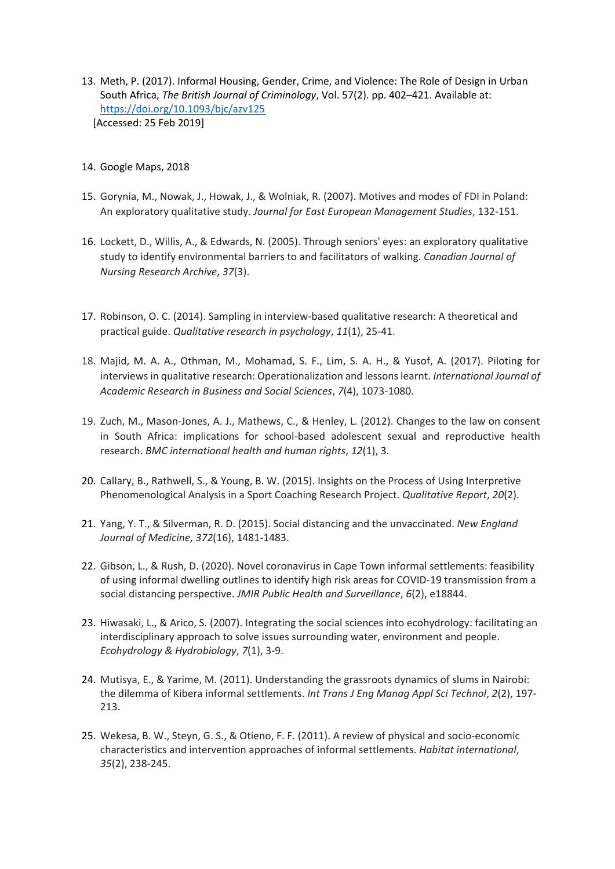- 13. Meth, P. (2017). Informal Housing, Gender, Crime, and Violence: The Role of Design in Urban South Africa, *The British Journal of Criminology*, Vol. 57(2). pp. 402–421. Available at: <https://doi.org/10.1093/bjc/azv125> [Accessed: 25 Feb 2019]
- 14. Google Maps, 2018
- 15. Gorynia, M., Nowak, J., Howak, J., & Wolniak, R. (2007). Motives and modes of FDI in Poland: An exploratory qualitative study. *Journal for East European Management Studies*, 132-151.
- 16. Lockett, D., Willis, A., & Edwards, N. (2005). Through seniors' eyes: an exploratory qualitative study to identify environmental barriers to and facilitators of walking. *Canadian Journal of Nursing Research Archive*, *37*(3).
- 17. Robinson, O. C. (2014). Sampling in interview-based qualitative research: A theoretical and practical guide. *Qualitative research in psychology*, *11*(1), 25-41.
- 18. Majid, M. A. A., Othman, M., Mohamad, S. F., Lim, S. A. H., & Yusof, A. (2017). Piloting for interviews in qualitative research: Operationalization and lessons learnt. *International Journal of Academic Research in Business and Social Sciences*, *7*(4), 1073-1080.
- 19. Zuch, M., Mason-Jones, A. J., Mathews, C., & Henley, L. (2012). Changes to the law on consent in South Africa: implications for school-based adolescent sexual and reproductive health research. *BMC international health and human rights*, *12*(1), 3.
- 20. Callary, B., Rathwell, S., & Young, B. W. (2015). Insights on the Process of Using Interpretive Phenomenological Analysis in a Sport Coaching Research Project. *Qualitative Report*, *20*(2).
- 21. Yang, Y. T., & Silverman, R. D. (2015). Social distancing and the unvaccinated. *New England Journal of Medicine*, *372*(16), 1481-1483.
- 22. Gibson, L., & Rush, D. (2020). Novel coronavirus in Cape Town informal settlements: feasibility of using informal dwelling outlines to identify high risk areas for COVID-19 transmission from a social distancing perspective. *JMIR Public Health and Surveillance*, *6*(2), e18844.
- 23. Hiwasaki, L., & Arico, S. (2007). Integrating the social sciences into ecohydrology: facilitating an interdisciplinary approach to solve issues surrounding water, environment and people. *Ecohydrology & Hydrobiology*, *7*(1), 3-9.
- 24. Mutisya, E., & Yarime, M. (2011). Understanding the grassroots dynamics of slums in Nairobi: the dilemma of Kibera informal settlements. *Int Trans J Eng Manag Appl Sci Technol*, *2*(2), 197- 213.
- 25. Wekesa, B. W., Steyn, G. S., & Otieno, F. F. (2011). A review of physical and socio-economic characteristics and intervention approaches of informal settlements. *Habitat international*, *35*(2), 238-245.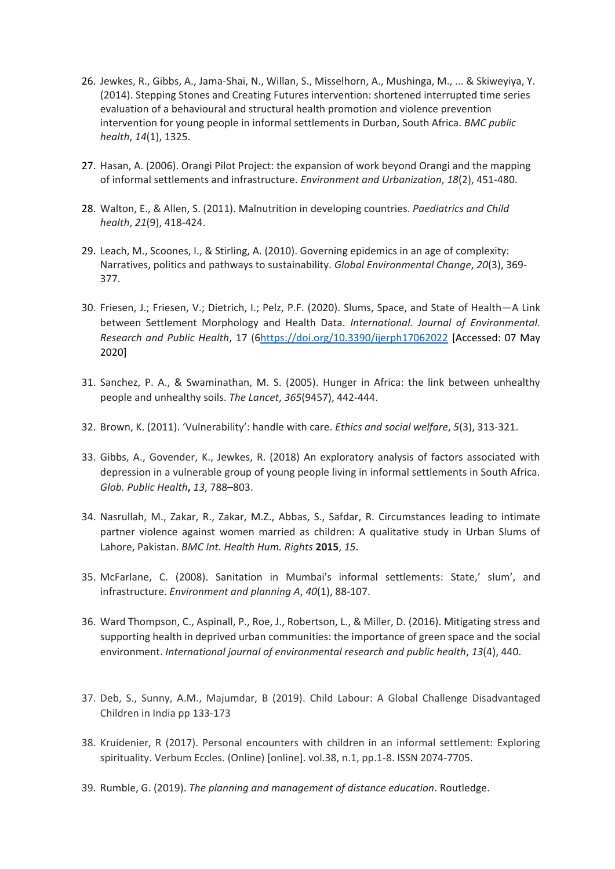- 26. Jewkes, R., Gibbs, A., Jama-Shai, N., Willan, S., Misselhorn, A., Mushinga, M., ... & Skiweyiya, Y. (2014). Stepping Stones and Creating Futures intervention: shortened interrupted time series evaluation of a behavioural and structural health promotion and violence prevention intervention for young people in informal settlements in Durban, South Africa. *BMC public health*, *14*(1), 1325.
- 27. Hasan, A. (2006). Orangi Pilot Project: the expansion of work beyond Orangi and the mapping of informal settlements and infrastructure. *Environment and Urbanization*, *18*(2), 451-480.
- 28. Walton, E., & Allen, S. (2011). Malnutrition in developing countries. *Paediatrics and Child health*, *21*(9), 418-424.
- 29. Leach, M., Scoones, I., & Stirling, A. (2010). Governing epidemics in an age of complexity: Narratives, politics and pathways to sustainability. *Global Environmental Change*, *20*(3), 369- 377.
- 30. Friesen, J.; Friesen, V.; Dietrich, I.; Pelz, P.F. (2020). Slums, Space, and State of Health—A Link between Settlement Morphology and Health Data. *International. Journal of Environmental. Research and Public Health*, 17 ([6https://doi.org/10.3390/ijerph17062022](https://doi.org/10.3390/ijerph17062022) [Accessed: 07 May 2020]
- 31. Sanchez, P. A., & Swaminathan, M. S. (2005). Hunger in Africa: the link between unhealthy people and unhealthy soils. *The Lancet*, *365*(9457), 442-444.
- 32. Brown, K. (2011). 'Vulnerability': handle with care. *Ethics and social welfare*, *5*(3), 313-321.
- 33. Gibbs, A., Govender, K., Jewkes, R. (2018) An exploratory analysis of factors associated with depression in a vulnerable group of young people living in informal settlements in South Africa. *Glob. Public Health***,** *13*, 788–803.
- 34. Nasrullah, M., Zakar, R., Zakar, M.Z., Abbas, S., Safdar, R. Circumstances leading to intimate partner violence against women married as children: A qualitative study in Urban Slums of Lahore, Pakistan. *BMC Int. Health Hum. Rights* **2015**, *15*.
- 35. McFarlane, C. (2008). Sanitation in Mumbai's informal settlements: State,' slum', and infrastructure. *Environment and planning A*, *40*(1), 88-107.
- 36. Ward Thompson, C., Aspinall, P., Roe, J., Robertson, L., & Miller, D. (2016). Mitigating stress and supporting health in deprived urban communities: the importance of green space and the social environment. *International journal of environmental research and public health*, *13*(4), 440.
- 37. Deb, S., Sunny, A.M., Majumdar, B (2019). Child Labour: A Global Challenge Disadvantaged Children in India pp 133-173
- 38. Kruidenier, R (2017). Personal encounters with children in an informal settlement: Exploring spirituality. Verbum Eccles. (Online) [online]. vol.38, n.1, pp.1-8. ISSN 2074-7705.
- 39. Rumble, G. (2019). *The planning and management of distance education*. Routledge.